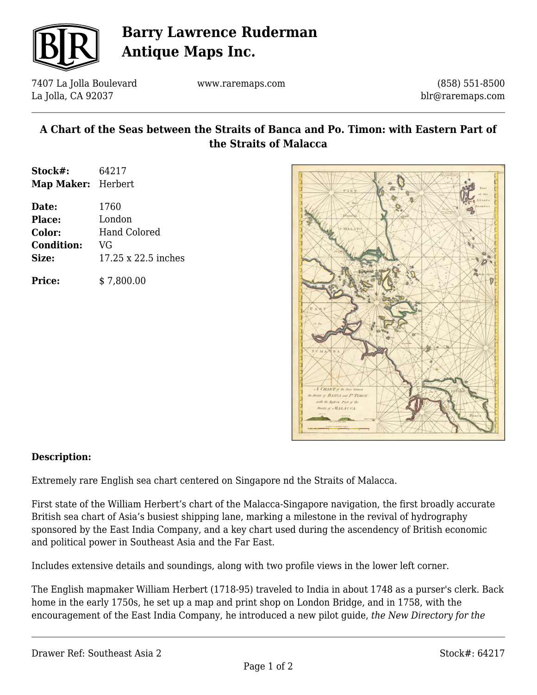

# **Barry Lawrence Ruderman Antique Maps Inc.**

7407 La Jolla Boulevard La Jolla, CA 92037

www.raremaps.com

(858) 551-8500 blr@raremaps.com

### **A Chart of the Seas between the Straits of Banca and Po. Timon: with Eastern Part of the Straits of Malacca**

| Stock#:                   | 64217  |
|---------------------------|--------|
| <b>Map Maker:</b> Herbert |        |
| Date:                     | 1760   |
| <b>Place:</b>             | London |

**Color:** Hand Colored **Condition:** VG **Size:** 17.25 x 22.5 inches

**Price:**  $$7,800.00$ 



#### **Description:**

Extremely rare English sea chart centered on Singapore nd the Straits of Malacca.

First state of the William Herbert's chart of the Malacca-Singapore navigation, the first broadly accurate British sea chart of Asia's busiest shipping lane, marking a milestone in the revival of hydrography sponsored by the East India Company, and a key chart used during the ascendency of British economic and political power in Southeast Asia and the Far East.

Includes extensive details and soundings, along with two profile views in the lower left corner.

The English mapmaker William Herbert (1718-95) traveled to India in about 1748 as a purser's clerk. Back home in the early 1750s, he set up a map and print shop on London Bridge, and in 1758, with the encouragement of the East India Company, he introduced a new pilot guide, *the New Directory for the*